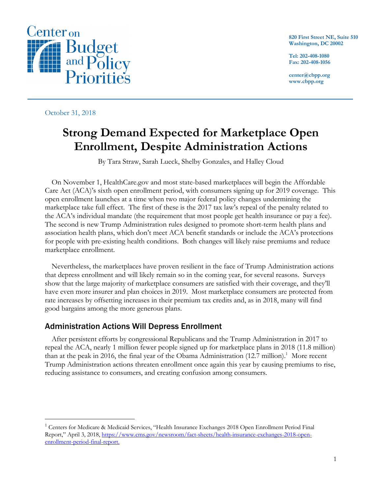

**820 First Street NE, Suite 510 Washington, DC 20002**

**Tel: 202-408-1080 Fax: 202-408-1056**

**center@cbpp.org www.cbpp.org**

October 31, 2018

# **Strong Demand Expected for Marketplace Open Enrollment, Despite Administration Actions**

By Tara Straw, Sarah Lueck, Shelby Gonzales, and Halley Cloud

On November 1, HealthCare.gov and most state-based marketplaces will begin the Affordable Care Act (ACA)'s sixth open enrollment period, with consumers signing up for 2019 coverage. This open enrollment launches at a time when two major federal policy changes undermining the marketplace take full effect. The first of these is the 2017 tax law's repeal of the penalty related to the ACA's individual mandate (the requirement that most people get health insurance or pay a fee). The second is new Trump Administration rules designed to promote short-term health plans and association health plans, which don't meet ACA benefit standards or include the ACA's protections for people with pre-existing health conditions. Both changes will likely raise premiums and reduce marketplace enrollment.

Nevertheless, the marketplaces have proven resilient in the face of Trump Administration actions that depress enrollment and will likely remain so in the coming year, for several reasons. Surveys show that the large majority of marketplace consumers are satisfied with their coverage, and they'll have even more insurer and plan choices in 2019. Most marketplace consumers are protected from rate increases by offsetting increases in their premium tax credits and, as in 2018, many will find good bargains among the more generous plans.

# Administration Actions Will Depress Enrollment

After persistent efforts by congressional Republicans and the Trump Administration in 2017 to repeal the ACA, nearly 1 million fewer people signed up for marketplace plans in 2018 (11.8 million) than at the peak in 2016, the final year of the Obama Administration (12.7 million).<sup>1</sup> More recent Trump Administration actions threaten enrollment once again this year by causing premiums to rise, reducing assistance to consumers, and creating confusion among consumers.

<sup>&</sup>lt;sup>1</sup> Centers for Medicare & Medicaid Services, "Health Insurance Exchanges 2018 Open Enrollment Period Final Report," April 3, 2018, https://www.cms.gov/newsroom/fact-sheets/health-insurance-exchanges-2018-openenrollment-period-final-report.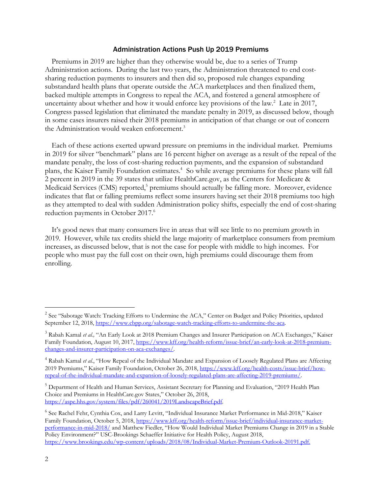#### Administration Actions Push Up 2019 Premiums

Premiums in 2019 are higher than they otherwise would be, due to a series of Trump Administration actions. During the last two years, the Administration threatened to end costsharing reduction payments to insurers and then did so, proposed rule changes expanding substandard health plans that operate outside the ACA marketplaces and then finalized them, backed multiple attempts in Congress to repeal the ACA, and fostered a general atmosphere of uncertainty about whether and how it would enforce key provisions of the law. $2$  Late in 2017, Congress passed legislation that eliminated the mandate penalty in 2019, as discussed below, though in some cases insurers raised their 2018 premiums in anticipation of that change or out of concern the Administration would weaken enforcement.<sup>3</sup>

Each of these actions exerted upward pressure on premiums in the individual market. Premiums in 2019 for silver "benchmark" plans are 16 percent higher on average as a result of the repeal of the mandate penalty, the loss of cost-sharing reduction payments, and the expansion of substandard plans, the Kaiser Family Foundation estimates.<sup>4</sup> So while average premiums for these plans will fall 2 percent in 2019 in the 39 states that utilize HealthCare.gov, as the Centers for Medicare & Medicaid Services (CMS) reported,<sup>5</sup> premiums should actually be falling more. Moreover, evidence indicates that flat or falling premiums reflect some insurers having set their 2018 premiums too high as they attempted to deal with sudden Administration policy shifts, especially the end of cost-sharing reduction payments in October 2017.<sup>6</sup>

It's good news that many consumers live in areas that will see little to no premium growth in 2019. However, while tax credits shield the large majority of marketplace consumers from premium increases, as discussed below, that is not the case for people with middle to high incomes. For people who must pay the full cost on their own, high premiums could discourage them from enrolling.

<sup>&</sup>lt;sup>2</sup> See "Sabotage Watch: Tracking Efforts to Undermine the ACA," Center on Budget and Policy Priorities, updated September 12, 2018, https://www.cbpp.org/sabotage-watch-tracking-efforts-to-undermine-the-aca.

<sup>&</sup>lt;sup>3</sup> Rabah Kamal et al., "An Early Look at 2018 Premium Changes and Insurer Participation on ACA Exchanges," Kaiser Family Foundation, August 10, 2017, https://www.kff.org/health-reform/issue-brief/an-early-look-at-2018-premiumchanges-and-insurer-participation-on-aca-exchanges/.

<sup>4</sup> Rabah Kamal *et al.*, "How Repeal of the Individual Mandate and Expansion of Loosely Regulated Plans are Affecting 2019 Premiums," Kaiser Family Foundation, October 26, 2018, https://www.kff.org/health-costs/issue-brief/howrepeal-of-the-individual-mandate-and-expansion-of-loosely-regulated-plans-are-affecting-2019-premiums/.

<sup>&</sup>lt;sup>5</sup> Department of Health and Human Services, Assistant Secretary for Planning and Evaluation, "2019 Health Plan Choice and Premiums in HealthCare.gov States," October 26, 2018, https://aspe.hhs.gov/system/files/pdf/260041/2019LandscapeBrief.pdf.

<sup>6</sup> See Rachel Fehr, Cynthia Cox, and Larry Levitt, "Individual Insurance Market Performance in Mid-2018," Kaiser Family Foundation, October 5, 2018, https://www.kff.org/health-reform/issue-brief/individual-insurance-marketperformance-in-mid-2018/ and Matthew Fiedler, "How Would Individual Market Premiums Change in 2019 in a Stable Policy Environment?" USC-Brookings Schaeffer Initiative for Health Policy, August 2018, https://www.brookings.edu/wp-content/uploads/2018/08/Individual-Market-Premium-Outlook-20191.pdf.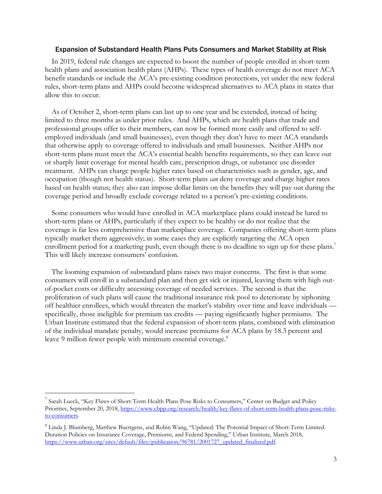#### Expansion of Substandard Health Plans Puts Consumers and Market Stability at Risk

In 2019, federal rule changes are expected to boost the number of people enrolled in short-term health plans and association health plans (AHPs). These types of health coverage do not meet ACA benefit standards or include the ACA's pre-existing condition protections, yet under the new federal rules, short-term plans and AHPs could become widespread alternatives to ACA plans in states that allow this to occur.

As of October 2, short-term plans can last up to one year and be extended, instead of being limited to three months as under prior rules. And AHPs, which are health plans that trade and professional groups offer to their members, can now be formed more easily and offered to selfemployed individuals (and small businesses), even though they don't have to meet ACA standards that otherwise apply to coverage offered to individuals and small businesses. Neither AHPs nor short-term plans must meet the ACA's essential health benefits requirements, so they can leave out or sharply limit coverage for mental health care, prescription drugs, or substance use disorder treatment. AHPs can charge people higher rates based on characteristics such as gender, age, and occupation (though not health status). Short-term plans *can* deny coverage and charge higher rates based on health status; they also can impose dollar limits on the benefits they will pay out during the coverage period and broadly exclude coverage related to a person's pre-existing conditions.

Some consumers who would have enrolled in ACA marketplace plans could instead be lured to short-term plans or AHPs, particularly if they expect to be healthy or do not realize that the coverage is far less comprehensive than marketplace coverage. Companies offering short-term plans typically market them aggressively; in some cases they are explicitly targeting the ACA open enrollment period for a marketing push, even though there is no deadline to sign up for these plans.<sup>7</sup> This will likely increase consumers' confusion.

The looming expansion of substandard plans raises two major concerns. The first is that some consumers will enroll in a substandard plan and then get sick or injured, leaving them with high outof-pocket costs or difficulty accessing coverage of needed services. The second is that the proliferation of such plans will cause the traditional insurance risk pool to deteriorate by siphoning off healthier enrollees, which would threaten the market's stability over time and leave individuals specifically, those ineligible for premium tax credits — paying significantly higher premiums. The Urban Institute estimated that the federal expansion of short-term plans, combined with elimination of the individual mandate penalty, would increase premiums for ACA plans by 18.3 percent and leave 9 million fewer people with minimum essential coverage.<sup>8</sup>

<sup>&</sup>lt;sup>7</sup> Sarah Lueck, "Key Flaws of Short-Term Health Plans Pose Risks to Consumers," Center on Budget and Policy Priorities, September 20, 2018, https://www.cbpp.org/research/health/key-flaws-of-short-term-health-plans-pose-risksto-consumers.

<sup>8</sup> Linda J. Blumberg, Matthew Buettgens, and Robin Wang, "Updated: The Potential Impact of Short-Term Limited-Duration Policies on Insurance Coverage, Premiums, and Federal Spending," Urban Institute, March 2018, https://www.urban.org/sites/default/files/publication/96781/2001727\_updated\_finalized.pdf.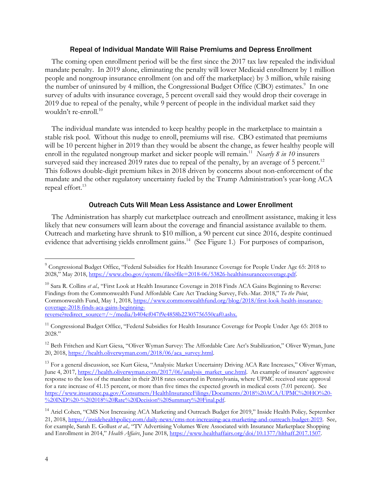#### Repeal of Individual Mandate Will Raise Premiums and Depress Enrollment

The coming open enrollment period will be the first since the 2017 tax law repealed the individual mandate penalty. In 2019 alone, eliminating the penalty will lower Medicaid enrollment by 1 million people and nongroup insurance enrollment (on and off the marketplace) by 3 million, while raising the number of uninsured by 4 million, the Congressional Budget Office (CBO) estimates.<sup>9</sup> In one survey of adults with insurance coverage, 5 percent overall said they would drop their coverage in 2019 due to repeal of the penalty, while 9 percent of people in the individual market said they wouldn't re-enroll.<sup>10</sup>

The individual mandate was intended to keep healthy people in the marketplace to maintain a stable risk pool. Without this nudge to enroll, premiums will rise. CBO estimated that premiums will be 10 percent higher in 2019 than they would be absent the change, as fewer healthy people will enroll in the regulated nongroup market and sicker people will remain.<sup>11</sup> *Nearly 8 in 10* insurers surveyed said they increased 2019 rates due to repeal of the penalty, by an average of 5 percent.<sup>12</sup> This follows double-digit premium hikes in 2018 driven by concerns about non-enforcement of the mandate and the other regulatory uncertainty fueled by the Trump Administration's year-long ACA repeal effort.<sup>13</sup>

#### Outreach Cuts Will Mean Less Assistance and Lower Enrollment

The Administration has sharply cut marketplace outreach and enrollment assistance, making it less likely that new consumers will learn about the coverage and financial assistance available to them. Outreach and marketing have shrunk to \$10 million, a 90 percent cut since 2016, despite continued evidence that advertising yields enrollment gains.<sup>14</sup> (See Figure 1.) For purposes of comparison,

 <sup>9</sup> Congressional Budget Office, "Federal Subsidies for Health Insurance Coverage for People Under Age 65: 2018 to 2028," May 2018, https://www.cbo.gov/system/files?file=2018-06/53826-healthinsurancecoverage.pdf.

<sup>&</sup>lt;sup>10</sup> Sara R. Collins *et al.*, "First Look at Health Insurance Coverage in 2018 Finds ACA Gains Beginning to Reverse: Findings from the Commonwealth Fund Affordable Care Act Tracking Survey, Feb.-Mar. 2018," *To the Point*, Commonwealth Fund, May 1, 2018, https://www.commonwealthfund.org/blog/2018/first-look-health-insurancecoverage-2018-finds-aca-gains-beginningreverse?redirect\_source=/~/media/b404ef047f9e4858b22305756550caf0.ashx.

<sup>&</sup>lt;sup>11</sup> Congressional Budget Office, "Federal Subsidies for Health Insurance Coverage for People Under Age 65: 2018 to 2028."

<sup>&</sup>lt;sup>12</sup> Beth Fritchen and Kurt Giesa, "Oliver Wyman Survey: The Affordable Care Act's Stabilization," Oliver Wyman, June 20, 2018, https://health.oliverwyman.com/2018/06/aca\_survey.html.

<sup>&</sup>lt;sup>13</sup> For a general discussion, see Kurt Giesa, "Analysis: Market Uncertainty Driving ACA Rate Increases," Oliver Wyman, June 4, 2017, https://health.oliverwyman.com/2017/06/analysis\_market\_unc.html. An example of insurers' aggressive response to the loss of the mandate in their 2018 rates occurred in Pennsylvania, where UPMC received state approval for a rate increase of 41.15 percent, or more than five times the expected growth in medical costs (7.01 percent). See https://www.insurance.pa.gov/Consumers/HealthInsuranceFilings/Documents/2018%20ACA/UPMC%20HO%20- %20IND%20-%202018%20Rate%20Decision%20Summary%20Final.pdf.

<sup>&</sup>lt;sup>14</sup> Ariel Cohen, "CMS Not Increasing ACA Marketing and Outreach Budget for 2019," Inside Health Policy, September 21, 2018, https://insidehealthpolicy.com/daily-news/cms-not-increasing-aca-marketing-and-outreach-budget-2019. See, for example, Sarah E. Gollust *et al.,* "TV Advertising Volumes Were Associated with Insurance Marketplace Shopping and Enrollment in 2014," *Health Affairs*, June 2018, https://www.healthaffairs.org/doi/10.1377/hlthaff.2017.1507.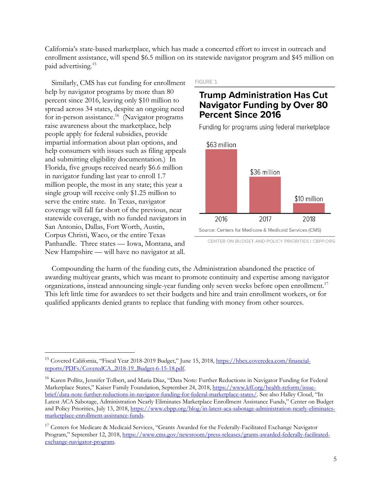California's state-based marketplace, which has made a concerted effort to invest in outreach and enrollment assistance, will spend \$6.5 million on its statewide navigator program and \$45 million on paid advertising.15

Similarly, CMS has cut funding for enrollment help by navigator programs by more than 80 percent since 2016, leaving only \$10 million to spread across 34 states, despite an ongoing need for in-person assistance.<sup>16</sup> (Navigator programs raise awareness about the marketplace, help people apply for federal subsidies, provide impartial information about plan options, and help consumers with issues such as filing appeals and submitting eligibility documentation.) In Florida, five groups received nearly \$6.6 million in navigator funding last year to enroll 1.7 million people, the most in any state; this year a single group will receive only \$1.25 million to serve the entire state. In Texas, navigator coverage will fall far short of the previous, near statewide coverage, with no funded navigators in San Antonio, Dallas, Fort Worth, Austin, Corpus Christi, Waco, or the entire Texas Panhandle. Three states — Iowa, Montana, and New Hampshire — will have no navigator at all.

FIGURE 1

# **Trump Administration Has Cut Navigator Funding by Over 80 Percent Since 2016**

Funding for programs using federal marketplace



CENTER ON BUDGET AND POLICY PRIORITIES | CBPP.ORG

Compounding the harm of the funding cuts, the Administration abandoned the practice of awarding multiyear grants, which was meant to promote continuity and expertise among navigator organizations, instead announcing single-year funding only seven weeks before open enrollment.17 This left little time for awardees to set their budgets and hire and train enrollment workers, or for qualified applicants denied grants to replace that funding with money from other sources.

<sup>&</sup>lt;sup>15</sup> Covered California, "Fiscal Year 2018-2019 Budget," June 15, 2018, https://hbex.coveredca.com/financialreports/PDFs/CoveredCA\_2018-19\_Budget-6-15-18.pdf.

<sup>&</sup>lt;sup>16</sup> Karen Pollitz, Jennifer Tolbert, and Maria Diaz, "Data Note: Further Reductions in Navigator Funding for Federal Marketplace States," Kaiser Family Foundation, September 24, 2018, https://www.kff.org/health-reform/issuebrief/data-note-further-reductions-in-navigator-funding-for-federal-marketplace-states/. See also Halley Cloud, "In Latest ACA Sabotage, Administration Nearly Eliminates Marketplace Enrollment Assistance Funds," Center on Budget and Policy Priorities, July 13, 2018, https://www.cbpp.org/blog/in-latest-aca-sabotage-administration-nearly-eliminatesmarketplace-enrollment-assistance-funds.

<sup>&</sup>lt;sup>17</sup> Centers for Medicare & Medicaid Services, "Grants Awarded for the Federally-Facilitated Exchange Navigator Program," September 12, 2018, https://www.cms.gov/newsroom/press-releases/grants-awarded-federally-facilitatedexchange-navigator-program.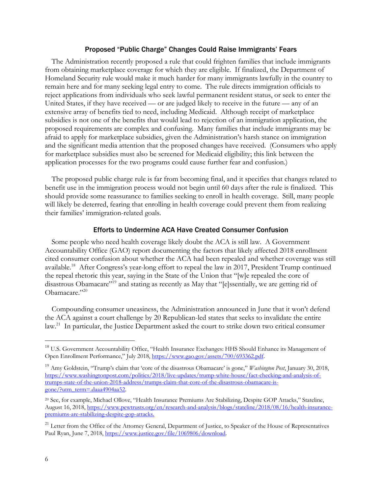#### Proposed "Public Charge" Changes Could Raise Immigrants' Fears

The Administration recently proposed a rule that could frighten families that include immigrants from obtaining marketplace coverage for which they are eligible. If finalized, the Department of Homeland Security rule would make it much harder for many immigrants lawfully in the country to remain here and for many seeking legal entry to come. The rule directs immigration officials to reject applications from individuals who seek lawful permanent resident status, or seek to enter the United States, if they have received — or are judged likely to receive in the future — any of an extensive array of benefits tied to need, including Medicaid. Although receipt of marketplace subsidies is not one of the benefits that would lead to rejection of an immigration application, the proposed requirements are complex and confusing. Many families that include immigrants may be afraid to apply for marketplace subsidies, given the Administration's harsh stance on immigration and the significant media attention that the proposed changes have received. (Consumers who apply for marketplace subsidies must also be screened for Medicaid eligibility; this link between the application processes for the two programs could cause further fear and confusion.)

The proposed public charge rule is far from becoming final, and it specifies that changes related to benefit use in the immigration process would not begin until 60 days after the rule is finalized. This should provide some reassurance to families seeking to enroll in health coverage. Still, many people will likely be deterred, fearing that enrolling in health coverage could prevent them from realizing their families' immigration-related goals.

#### Efforts to Undermine ACA Have Created Consumer Confusion

Some people who need health coverage likely doubt the ACA is still law. A Government Accountability Office (GAO) report documenting the factors that likely affected 2018 enrollment cited consumer confusion about whether the ACA had been repealed and whether coverage was still available.18 After Congress's year-long effort to repeal the law in 2017, President Trump continued the repeal rhetoric this year, saying in the State of the Union that "[w]e repealed the core of disastrous Obamacare"<sup>19</sup> and stating as recently as May that "[e]ssentially, we are getting rid of Obamacare."20

Compounding consumer uneasiness, the Administration announced in June that it won't defend the ACA against a court challenge by 20 Republican-led states that seeks to invalidate the entire law.21 In particular, the Justice Department asked the court to strike down two critical consumer

<sup>&</sup>lt;sup>18</sup> U.S. Government Accountability Office, "Health Insurance Exchanges: HHS Should Enhance its Management of Open Enrollment Performance," July 2018, https://www.gao.gov/assets/700/693362.pdf.

<sup>19</sup> Amy Goldstein, "Trump's claim that 'core of the disastrous Obamacare' is gone," *Washington Post*, January 30, 2018, https://www.washingtonpost.com/politics/2018/live-updates/trump-white-house/fact-checking-and-analysis-oftrumps-state-of-the-union-2018-address/trumps-claim-that-core-of-the-disastrous-obamacare-isgone/?utm\_term=.daaa4904aa52.

<sup>20</sup> See, for example, Michael Ollove, "Health Insurance Premiums Are Stabilizing, Despite GOP Attacks," Stateline, August 16, 2018, https://www.pewtrusts.org/en/research-and-analysis/blogs/stateline/2018/08/16/health-insurancepremiums-are-stabilizing-despite-gop-attacks.

<sup>&</sup>lt;sup>21</sup> Letter from the Office of the Attorney General, Department of Justice, to Speaker of the House of Representatives Paul Ryan, June 7, 2018, https://www.justice.gov/file/1069806/download.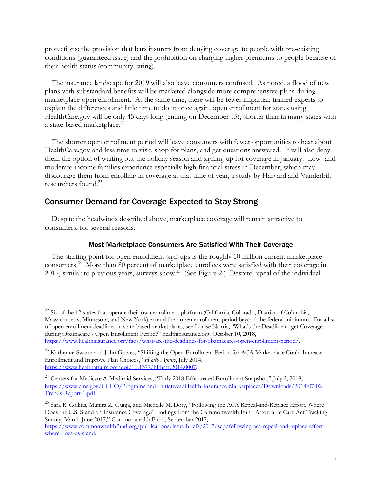protections: the provision that bars insurers from denying coverage to people with pre-existing conditions (guaranteed issue) and the prohibition on charging higher premiums to people because of their health status (community rating).

The insurance landscape for 2019 will also leave consumers confused. As noted, a flood of new plans with substandard benefits will be marketed alongside more comprehensive plans during marketplace open enrollment. At the same time, there will be fewer impartial, trained experts to explain the differences and little time to do it: once again, open enrollment for states using HealthCare.gov will be only 45 days long (ending on December 15), shorter than in many states with a state-based marketplace.<sup>22</sup>

The shorter open enrollment period will leave consumers with fewer opportunities to hear about HealthCare.gov and less time to visit, shop for plans, and get questions answered. It will also deny them the option of waiting out the holiday season and signing up for coverage in January. Low- and moderate-income families experience especially high financial stress in December, which may discourage them from enrolling in coverage at that time of year, a study by Harvard and Vanderbilt researchers found.<sup>23</sup>

# Consumer Demand for Coverage Expected to Stay Strong

Despite the headwinds described above, marketplace coverage will remain attractive to consumers, for several reasons.

#### Most Marketplace Consumers Are Satisfied With Their Coverage

The starting point for open enrollment sign-ups is the roughly 10 million current marketplace consumers. 24 More than 80 percent of marketplace enrollees were satisfied with their coverage in 2017, similar to previous years, surveys show.<sup>25</sup> (See Figure 2.) Despite repeal of the individual

<sup>&</sup>lt;sup>22</sup> Six of the 12 states that operate their own enrollment platform (California, Colorado, District of Columbia, Massachusetts, Minnesota, and New York) extend their open enrollment period beyond the federal minimum. For a list of open enrollment deadlines in state-based marketplaces, see Louise Norris, "What's the Deadline to get Coverage during Obamacare's Open Enrollment Period?" healthinsurance.org, October 10, 2018, https://www.healthinsurance.org/faqs/what-are-the-deadlines-for-obamacares-open-enrollment-period/.

<sup>&</sup>lt;sup>23</sup> Katherine Swartz and John Graves, "Shifting the Open Enrollment Period for ACA Marketplace Could Increase Enrollment and Improve Plan Choices," *Health Affairs*, July 2014, https://www.healthaffairs.org/doi/10.1377/hlthaff.2014.0007.

<sup>&</sup>lt;sup>24</sup> Centers for Medicare & Medicaid Services, "Early 2018 Effectuated Enrollment Snapshot," July 2, 2018, https://www.cms.gov/CCIIO/Programs-and-Initiatives/Health-Insurance-Marketplaces/Downloads/2018-07-02- Trends-Report-1.pdf.

<sup>&</sup>lt;sup>25</sup> Sara R. Collins, Munira Z. Gunja, and Michelle M. Doty, "Following the ACA Repeal-and-Replace Effort, Where Does the U.S. Stand on Insurance Coverage? Findings from the Commonwealth Fund Affordable Care Act Tracking Survey, March-June 2017," Commonwealth Fund, September 2017,

https://www.commonwealthfund.org/publications/issue-briefs/2017/sep/following-aca-repeal-and-replace-effortwhere-does-us-stand.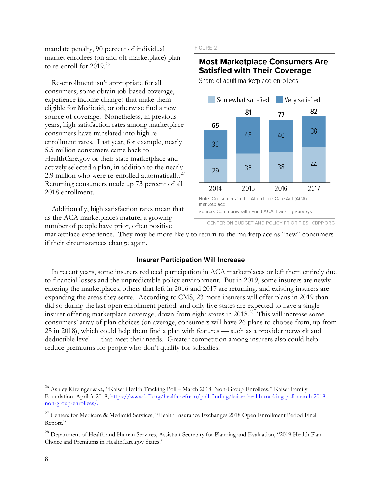mandate penalty, 90 percent of individual market enrollees (on and off marketplace) plan to re-enroll for 2019.<sup>26</sup>

Re-enrollment isn't appropriate for all consumers; some obtain job-based coverage, experience income changes that make them eligible for Medicaid, or otherwise find a new source of coverage. Nonetheless, in previous years, high satisfaction rates among marketplace consumers have translated into high reenrollment rates. Last year, for example, nearly 5.5 million consumers came back to HealthCare.gov or their state marketplace and actively selected a plan, in addition to the nearly 2.9 million who were re-enrolled automatically.<sup>27</sup> Returning consumers made up 73 percent of all 2018 enrollment.

Additionally, high satisfaction rates mean that as the ACA marketplaces mature, a growing number of people have prior, often positive

#### FIGURE 2

### **Most Marketplace Consumers Are Satisfied with Their Coverage**

Share of adult marketplace enrollees



CENTER ON BUDGET AND POLICY PRIORITIES | CBPP.ORG

marketplace experience. They may be more likely to return to the marketplace as "new" consumers if their circumstances change again.

#### Insurer Participation Will Increase

In recent years, some insurers reduced participation in ACA marketplaces or left them entirely due to financial losses and the unpredictable policy environment. But in 2019, some insurers are newly entering the marketplaces, others that left in 2016 and 2017 are returning, and existing insurers are expanding the areas they serve. According to CMS, 23 more insurers will offer plans in 2019 than did so during the last open enrollment period, and only five states are expected to have a single insurer offering marketplace coverage, down from eight states in 2018<sup>28</sup> This will increase some consumers' array of plan choices (on average, consumers will have 26 plans to choose from, up from 25 in 2018), which could help them find a plan with features — such as a provider network and deductible level — that meet their needs. Greater competition among insurers also could help reduce premiums for people who don't qualify for subsidies.

<sup>&</sup>lt;sup>26</sup> Ashley Kirzinger et al., "Kaiser Health Tracking Poll – March 2018: Non-Group Enrollees," Kaiser Family Foundation, April 3, 2018, https://www.kff.org/health-reform/poll-finding/kaiser-health-tracking-poll-march-2018 non-group-enrollees/.

<sup>&</sup>lt;sup>27</sup> Centers for Medicare & Medicaid Services, "Health Insurance Exchanges 2018 Open Enrollment Period Final Report."

<sup>&</sup>lt;sup>28</sup> Department of Health and Human Services, Assistant Secretary for Planning and Evaluation, "2019 Health Plan Choice and Premiums in HealthCare.gov States."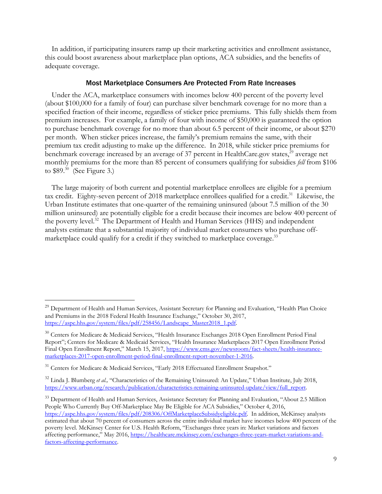In addition, if participating insurers ramp up their marketing activities and enrollment assistance, this could boost awareness about marketplace plan options, ACA subsidies, and the benefits of adequate coverage.

#### Most Marketplace Consumers Are Protected From Rate Increases

Under the ACA, marketplace consumers with incomes below 400 percent of the poverty level (about \$100,000 for a family of four) can purchase silver benchmark coverage for no more than a specified fraction of their income, regardless of sticker price premiums. This fully shields them from premium increases. For example, a family of four with income of \$50,000 is guaranteed the option to purchase benchmark coverage for no more than about 6.5 percent of their income, or about \$270 per month. When sticker prices increase, the family's premium remains the same, with their premium tax credit adjusting to make up the difference. In 2018, while sticker price premiums for benchmark coverage increased by an average of 37 percent in HealthCare.gov states,<sup>29</sup> average net monthly premiums for the more than 85 percent of consumers qualifying for subsidies *fell* from \$106 to  $$89.<sup>30</sup>$  (See Figure 3.)

The large majority of both current and potential marketplace enrollees are eligible for a premium tax credit. Eighty-seven percent of 2018 marketplace enrollees qualified for a credit.<sup>31</sup> Likewise, the Urban Institute estimates that one-quarter of the remaining uninsured (about 7.5 million of the 30 million uninsured) are potentially eligible for a credit because their incomes are below 400 percent of the poverty level.<sup>32</sup> The Department of Health and Human Services (HHS) and independent analysts estimate that a substantial majority of individual market consumers who purchase offmarketplace could qualify for a credit if they switched to marketplace coverage.<sup>33</sup>

<sup>33</sup> Department of Health and Human Services, Assistance Secretary for Planning and Evaluation, "About 2.5 Million People Who Currently Buy Off-Marketplace May Be Eligible for ACA Subsidies," October 4, 2016, https://aspe.hhs.gov/system/files/pdf/208306/OffMarketplaceSubsidyeligible.pdf. In addition, McKinsey analysts estimated that about 70 percent of consumers across the entire individual market have incomes below 400 percent of the poverty level. McKinsey Center for U.S. Health Reform, "Exchanges three years in: Market variations and factors affecting performance," May 2016, https://healthcare.mckinsey.com/exchanges-three-years-market-variations-andfactors-affecting-performance.

<sup>&</sup>lt;sup>29</sup> Department of Health and Human Services, Assistant Secretary for Planning and Evaluation, "Health Plan Choice and Premiums in the 2018 Federal Health Insurance Exchange," October 30, 2017, https://aspe.hhs.gov/system/files/pdf/258456/Landscape\_Master2018\_1.pdf.

<sup>&</sup>lt;sup>30</sup> Centers for Medicare & Medicaid Services, "Health Insurance Exchanges 2018 Open Enrollment Period Final Report"; Centers for Medicare & Medicaid Services, "Health Insurance Marketplaces 2017 Open Enrollment Period Final Open Enrollment Report," March 15, 2017, https://www.cms.gov/newsroom/fact-sheets/health-insurancemarketplaces-2017-open-enrollment-period-final-enrollment-report-november-1-2016.

<sup>&</sup>lt;sup>31</sup> Centers for Medicare & Medicaid Services, "Early 2018 Effectuated Enrollment Snapshot."

<sup>&</sup>lt;sup>32</sup> Linda J. Blumberg *et al.*, "Characteristics of the Remaining Uninsured: An Update," Urban Institute, July 2018, https://www.urban.org/research/publication/characteristics-remaining-uninsured-update/view/full\_report.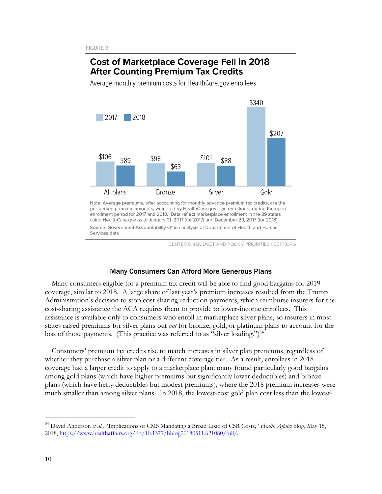# **Cost of Marketplace Coverage Fell in 2018 After Counting Premium Tax Credits**

Average monthly premium costs for HealthCare.gov enrollees



Note: Average premiums, after accounting for monthly advance premium tax credits, are the per-person premium amounts, weighted by HealthCare.gov plan enrollment during the open enrollment period for 2017 and 2018. Data reflect marketplace enrollment in the 39 states using HealthCare.gov as of January 31, 2017 (for 2017) and December 23, 2017 (for 2018). Source: Government Accountability Office analysis of Department of Health and Human Services data

CENTER ON BUDGET AND POLICY PRIORITIES | CBPP.ORG

#### Many Consumers Can Afford More Generous Plans

Many consumers eligible for a premium tax credit will be able to find good bargains for 2019 coverage, similar to 2018. A large share of last year's premium increases resulted from the Trump Administration's decision to stop cost-sharing reduction payments, which reimburse insurers for the cost-sharing assistance the ACA requires them to provide to lower-income enrollees. This assistance is available only to consumers who enroll in marketplace silver plans, so insurers in most states raised premiums for silver plans but *not* for bronze, gold, or platinum plans to account for the loss of those payments. (This practice was referred to as "silver loading.")<sup>34</sup>

Consumers' premium tax credits rise to match increases in silver plan premiums, regardless of whether they purchase a silver plan or a different coverage tier. As a result, enrollees in 2018 coverage had a larger credit to apply to a marketplace plan; many found particularly good bargains among gold plans (which have higher premiums but significantly lower deductibles) and bronze plans (which have hefty deductibles but modest premiums), where the 2018 premium increases were much smaller than among silver plans. In 2018, the lowest-cost gold plan cost less than the lowest-

 <sup>34</sup> David Anderson *et al.,* "Implications of CMS Mandating a Broad Load of CSR Costs," *Health Affairs* blog, May 15, 2018, https://www.healthaffairs.org/do/10.1377/hblog20180511.621080/full/.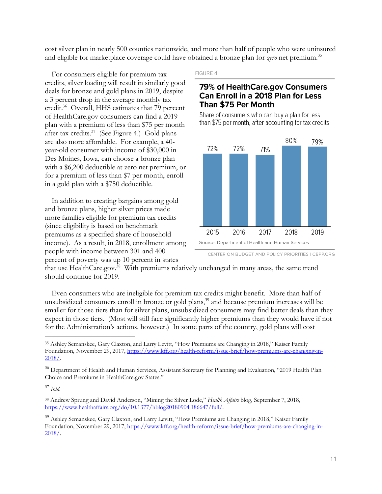cost silver plan in nearly 500 counties nationwide, and more than half of people who were uninsured and eligible for marketplace coverage could have obtained a bronze plan for *zero* net premium.<sup>35</sup>

For consumers eligible for premium tax credits, silver loading will result in similarly good deals for bronze and gold plans in 2019, despite a 3 percent drop in the average monthly tax credit.36 Overall, HHS estimates that 79 percent of HealthCare.gov consumers can find a 2019 plan with a premium of less than \$75 per month after tax credits.37 (See Figure 4.) Gold plans are also more affordable. For example, a 40 year-old consumer with income of \$30,000 in Des Moines, Iowa, can choose a bronze plan with a \$6,200 deductible at zero net premium, or for a premium of less than \$7 per month, enroll in a gold plan with a \$750 deductible.

In addition to creating bargains among gold and bronze plans, higher silver prices made more families eligible for premium tax credits (since eligibility is based on benchmark premiums as a specified share of household income). As a result, in 2018, enrollment among people with income between 301 and 400 percent of poverty was up 10 percent in states

#### FIGURE 4

### 79% of HealthCare.gov Consumers Can Enroll in a 2018 Plan for Less Than \$75 Per Month

Share of consumers who can buy a plan for less than \$75 per month, after accounting for tax credits



CENTER ON BUDGET AND POLICY PRIORITIES | CBPP.ORG

that use HealthCare.gov.<sup>38</sup> With premiums relatively unchanged in many areas, the same trend should continue for 2019.

Even consumers who are ineligible for premium tax credits might benefit. More than half of unsubsidized consumers enroll in bronze or gold plans,<sup>39</sup> and because premium increases will be smaller for those tiers than for silver plans, unsubsidized consumers may find better deals than they expect in those tiers. (Most will still face significantly higher premiums than they would have if not for the Administration's actions, however.) In some parts of the country, gold plans will cost

<sup>37</sup> *Ibid*.

 <sup>35</sup> Ashley Semanskee, Gary Claxton, and Larry Levitt, "How Premiums are Changing in 2018," Kaiser Family Foundation, November 29, 2017, https://www.kff.org/health-reform/issue-brief/how-premiums-are-changing-in-2018/.

<sup>&</sup>lt;sup>36</sup> Department of Health and Human Services, Assistant Secretary for Planning and Evaluation, "2019 Health Plan Choice and Premiums in HealthCare.gov States."

<sup>38</sup> Andrew Sprung and David Anderson, "Mining the Silver Lode," *Health Affairs* blog, September 7, 2018, https://www.healthaffairs.org/do/10.1377/hblog20180904.186647/full/.

<sup>&</sup>lt;sup>39</sup> Ashley Semanskee, Gary Claxton, and Larry Levitt, "How Premiums are Changing in 2018," Kaiser Family Foundation, November 29, 2017, https://www.kff.org/health-reform/issue-brief/how-premiums-are-changing-in-2018/.